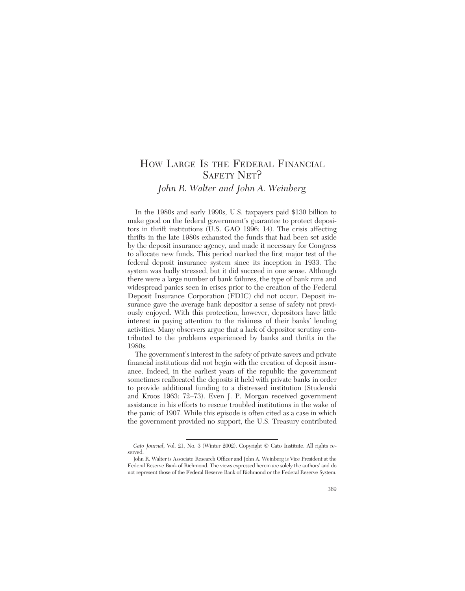# HOW LARGE IS THE FEDERAL FINANCIAL SAFETY NET? *John R. Walter and John A. Weinberg*

In the 1980s and early 1990s, U.S. taxpayers paid \$130 billion to make good on the federal government's guarantee to protect depositors in thrift institutions (U.S. GAO 1996: 14). The crisis affecting thrifts in the late 1980s exhausted the funds that had been set aside by the deposit insurance agency, and made it necessary for Congress to allocate new funds. This period marked the first major test of the federal deposit insurance system since its inception in 1933. The system was badly stressed, but it did succeed in one sense. Although there were a large number of bank failures, the type of bank runs and widespread panics seen in crises prior to the creation of the Federal Deposit Insurance Corporation (FDIC) did not occur. Deposit insurance gave the average bank depositor a sense of safety not previously enjoyed. With this protection, however, depositors have little interest in paying attention to the riskiness of their banks' lending activities. Many observers argue that a lack of depositor scrutiny contributed to the problems experienced by banks and thrifts in the 1980s.

The government's interest in the safety of private savers and private financial institutions did not begin with the creation of deposit insurance. Indeed, in the earliest years of the republic the government sometimes reallocated the deposits it held with private banks in order to provide additional funding to a distressed institution (Studenski and Kroos 1963: 72–73). Even J. P. Morgan received government assistance in his efforts to rescue troubled institutions in the wake of the panic of 1907. While this episode is often cited as a case in which the government provided no support, the U.S. Treasury contributed

*Cato Journal*, Vol. 21, No. 3 (Winter 2002). Copyright © Cato Institute. All rights reserved.

John R. Walter is Associate Research Officer and John A. Weinberg is Vice President at the Federal Reserve Bank of Richmond. The views expressed herein are solely the authors' and do not represent those of the Federal Reserve Bank of Richmond or the Federal Reserve System.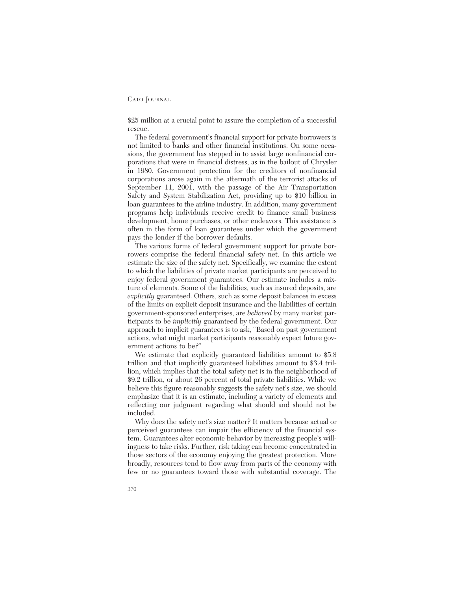\$25 million at a crucial point to assure the completion of a successful rescue.

The federal government's financial support for private borrowers is not limited to banks and other financial institutions. On some occasions, the government has stepped in to assist large nonfinancial corporations that were in financial distress, as in the bailout of Chrysler in 1980. Government protection for the creditors of nonfinancial corporations arose again in the aftermath of the terrorist attacks of September 11, 2001, with the passage of the Air Transportation Safety and System Stabilization Act, providing up to \$10 billion in loan guarantees to the airline industry. In addition, many government programs help individuals receive credit to finance small business development, home purchases, or other endeavors. This assistance is often in the form of loan guarantees under which the government pays the lender if the borrower defaults.

The various forms of federal government support for private borrowers comprise the federal financial safety net. In this article we estimate the size of the safety net. Specifically, we examine the extent to which the liabilities of private market participants are perceived to enjoy federal government guarantees. Our estimate includes a mixture of elements. Some of the liabilities, such as insured deposits, are *explicitly* guaranteed. Others, such as some deposit balances in excess of the limits on explicit deposit insurance and the liabilities of certain government-sponsored enterprises, are *believed* by many market participants to be *implicitly* guaranteed by the federal government. Our approach to implicit guarantees is to ask, "Based on past government actions, what might market participants reasonably expect future government actions to be?"

We estimate that explicitly guaranteed liabilities amount to \$5.8 trillion and that implicitly guaranteed liabilities amount to \$3.4 trillion, which implies that the total safety net is in the neighborhood of \$9.2 trillion, or about 26 percent of total private liabilities. While we believe this figure reasonably suggests the safety net's size, we should emphasize that it is an estimate, including a variety of elements and reflecting our judgment regarding what should and should not be included.

Why does the safety net's size matter? It matters because actual or perceived guarantees can impair the efficiency of the financial system. Guarantees alter economic behavior by increasing people's willingness to take risks. Further, risk taking can become concentrated in those sectors of the economy enjoying the greatest protection. More broadly, resources tend to flow away from parts of the economy with few or no guarantees toward those with substantial coverage. The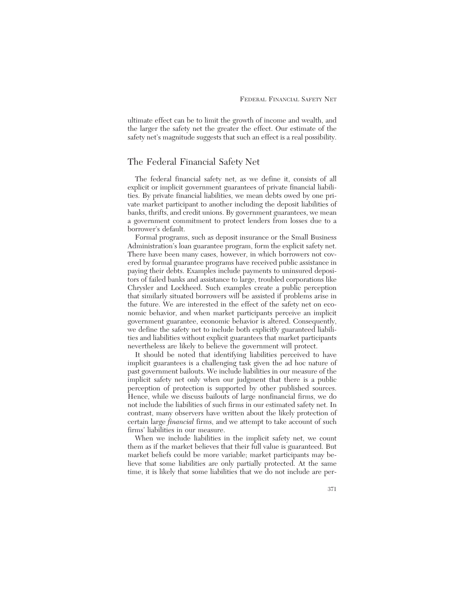ultimate effect can be to limit the growth of income and wealth, and the larger the safety net the greater the effect. Our estimate of the safety net's magnitude suggests that such an effect is a real possibility.

# The Federal Financial Safety Net

The federal financial safety net, as we define it, consists of all explicit or implicit government guarantees of private financial liabilities. By private financial liabilities, we mean debts owed by one private market participant to another including the deposit liabilities of banks, thrifts, and credit unions. By government guarantees, we mean a government commitment to protect lenders from losses due to a borrower's default.

Formal programs, such as deposit insurance or the Small Business Administration's loan guarantee program, form the explicit safety net. There have been many cases, however, in which borrowers not covered by formal guarantee programs have received public assistance in paying their debts. Examples include payments to uninsured depositors of failed banks and assistance to large, troubled corporations like Chrysler and Lockheed. Such examples create a public perception that similarly situated borrowers will be assisted if problems arise in the future. We are interested in the effect of the safety net on economic behavior, and when market participants perceive an implicit government guarantee, economic behavior is altered. Consequently, we define the safety net to include both explicitly guaranteed liabilities and liabilities without explicit guarantees that market participants nevertheless are likely to believe the government will protect.

It should be noted that identifying liabilities perceived to have implicit guarantees is a challenging task given the ad hoc nature of past government bailouts. We include liabilities in our measure of the implicit safety net only when our judgment that there is a public perception of protection is supported by other published sources. Hence, while we discuss bailouts of large nonfinancial firms, we do not include the liabilities of such firms in our estimated safety net. In contrast, many observers have written about the likely protection of certain large *financial* firms, and we attempt to take account of such firms' liabilities in our measure.

When we include liabilities in the implicit safety net, we count them as if the market believes that their full value is guaranteed. But market beliefs could be more variable; market participants may believe that some liabilities are only partially protected. At the same time, it is likely that some liabilities that we do not include are per-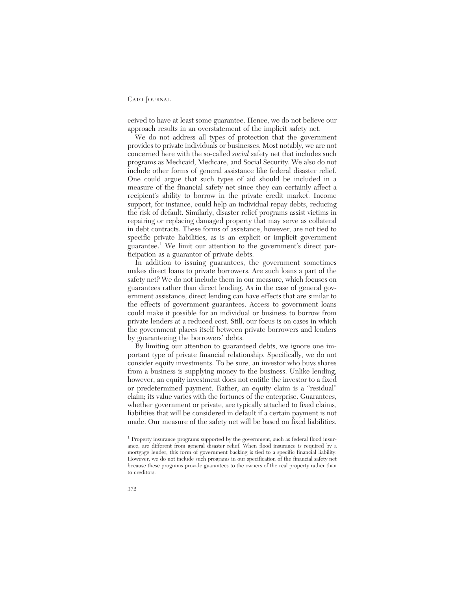ceived to have at least some guarantee. Hence, we do not believe our approach results in an overstatement of the implicit safety net.

We do not address all types of protection that the government provides to private individuals or businesses. Most notably, we are not concerned here with the so-called *social* safety net that includes such programs as Medicaid, Medicare, and Social Security. We also do not include other forms of general assistance like federal disaster relief. One could argue that such types of aid should be included in a measure of the financial safety net since they can certainly affect a recipient's ability to borrow in the private credit market. Income support, for instance, could help an individual repay debts, reducing the risk of default. Similarly, disaster relief programs assist victims in repairing or replacing damaged property that may serve as collateral in debt contracts. These forms of assistance, however, are not tied to specific private liabilities, as is an explicit or implicit government guarantee.<sup>1</sup> We limit our attention to the government's direct participation as a guarantor of private debts.

In addition to issuing guarantees, the government sometimes makes direct loans to private borrowers. Are such loans a part of the safety net? We do not include them in our measure, which focuses on guarantees rather than direct lending. As in the case of general government assistance, direct lending can have effects that are similar to the effects of government guarantees. Access to government loans could make it possible for an individual or business to borrow from private lenders at a reduced cost. Still, our focus is on cases in which the government places itself between private borrowers and lenders by guaranteeing the borrowers' debts.

By limiting our attention to guaranteed debts, we ignore one important type of private financial relationship. Specifically, we do not consider equity investments. To be sure, an investor who buys shares from a business is supplying money to the business. Unlike lending, however, an equity investment does not entitle the investor to a fixed or predetermined payment. Rather, an equity claim is a "residual" claim; its value varies with the fortunes of the enterprise. Guarantees, whether government or private, are typically attached to fixed claims, liabilities that will be considered in default if a certain payment is not made. Our measure of the safety net will be based on fixed liabilities.

<sup>&</sup>lt;sup>1</sup> Property insurance programs supported by the government, such as federal flood insurance, are different from general disaster relief. When flood insurance is required by a mortgage lender, this form of government backing is tied to a specific financial liability. However, we do not include such programs in our specification of the financial safety net because these programs provide guarantees to the owners of the real property rather than to creditors.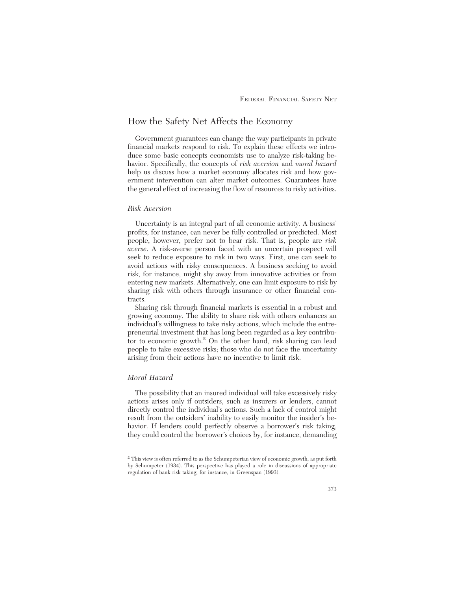# How the Safety Net Affects the Economy

Government guarantees can change the way participants in private financial markets respond to risk. To explain these effects we introduce some basic concepts economists use to analyze risk-taking behavior. Specifically, the concepts of *risk aversion* and *moral hazard* help us discuss how a market economy allocates risk and how government intervention can alter market outcomes. Guarantees have the general effect of increasing the flow of resources to risky activities.

#### *Risk Aversion*

Uncertainty is an integral part of all economic activity. A business' profits, for instance, can never be fully controlled or predicted. Most people, however, prefer not to bear risk. That is, people are *risk averse*. A risk-averse person faced with an uncertain prospect will seek to reduce exposure to risk in two ways. First, one can seek to avoid actions with risky consequences. A business seeking to avoid risk, for instance, might shy away from innovative activities or from entering new markets. Alternatively, one can limit exposure to risk by sharing risk with others through insurance or other financial contracts.

Sharing risk through financial markets is essential in a robust and growing economy. The ability to share risk with others enhances an individual's willingness to take risky actions, which include the entrepreneurial investment that has long been regarded as a key contributor to economic growth.<sup>2</sup> On the other hand, risk sharing can lead people to take excessive risks; those who do not face the uncertainty arising from their actions have no incentive to limit risk.

### *Moral Hazard*

The possibility that an insured individual will take excessively risky actions arises only if outsiders, such as insurers or lenders, cannot directly control the individual's actions. Such a lack of control might result from the outsiders' inability to easily monitor the insider's behavior. If lenders could perfectly observe a borrower's risk taking, they could control the borrower's choices by, for instance, demanding

<sup>2</sup> This view is often referred to as the Schumpeterian view of economic growth, as put forth by Schumpeter (1934). This perspective has played a role in discussions of appropriate regulation of bank risk taking, for instance, in Greenspan (1993).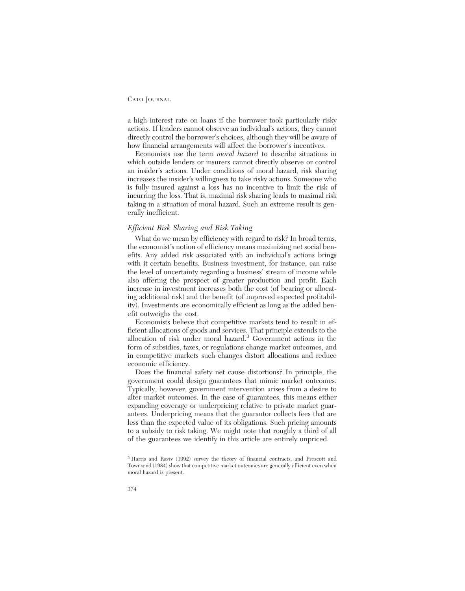a high interest rate on loans if the borrower took particularly risky actions. If lenders cannot observe an individual's actions, they cannot directly control the borrower's choices, although they will be aware of how financial arrangements will affect the borrower's incentives.

Economists use the term *moral hazard* to describe situations in which outside lenders or insurers cannot directly observe or control an insider's actions. Under conditions of moral hazard, risk sharing increases the insider's willingness to take risky actions. Someone who is fully insured against a loss has no incentive to limit the risk of incurring the loss. That is, maximal risk sharing leads to maximal risk taking in a situation of moral hazard. Such an extreme result is generally inefficient.

### *Efficient Risk Sharing and Risk Taking*

What do we mean by efficiency with regard to risk? In broad terms, the economist's notion of efficiency means maximizing net social benefits. Any added risk associated with an individual's actions brings with it certain benefits. Business investment, for instance, can raise the level of uncertainty regarding a business' stream of income while also offering the prospect of greater production and profit. Each increase in investment increases both the cost (of bearing or allocating additional risk) and the benefit (of improved expected profitability). Investments are economically efficient as long as the added benefit outweighs the cost.

Economists believe that competitive markets tend to result in efficient allocations of goods and services. That principle extends to the allocation of risk under moral hazard.3 Government actions in the form of subsidies, taxes, or regulations change market outcomes, and in competitive markets such changes distort allocations and reduce economic efficiency.

Does the financial safety net cause distortions? In principle, the government could design guarantees that mimic market outcomes. Typically, however, government intervention arises from a desire to alter market outcomes. In the case of guarantees, this means either expanding coverage or underpricing relative to private market guarantees. Underpricing means that the guarantor collects fees that are less than the expected value of its obligations. Such pricing amounts to a subsidy to risk taking. We might note that roughly a third of all of the guarantees we identify in this article are entirely unpriced.

<sup>3</sup> Harris and Raviv (1992) survey the theory of financial contracts, and Prescott and Townsend (1984) show that competitive market outcomes are generally efficient even when moral hazard is present.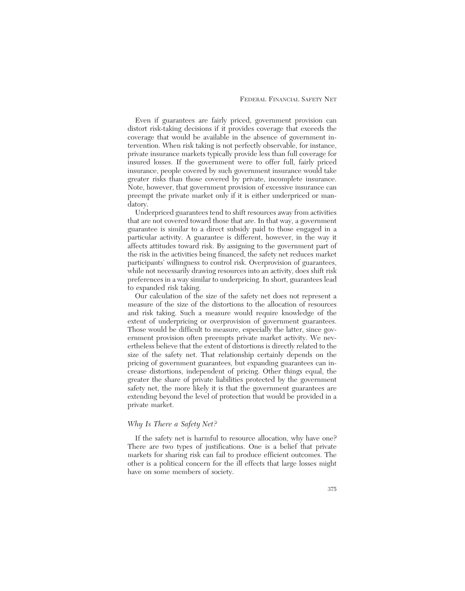Even if guarantees are fairly priced, government provision can distort risk-taking decisions if it provides coverage that exceeds the coverage that would be available in the absence of government intervention. When risk taking is not perfectly observable, for instance, private insurance markets typically provide less than full coverage for insured losses. If the government were to offer full, fairly priced insurance, people covered by such government insurance would take greater risks than those covered by private, incomplete insurance. Note, however, that government provision of excessive insurance can preempt the private market only if it is either underpriced or mandatory.

Underpriced guarantees tend to shift resources away from activities that are not covered toward those that are. In that way, a government guarantee is similar to a direct subsidy paid to those engaged in a particular activity. A guarantee is different, however, in the way it affects attitudes toward risk. By assigning to the government part of the risk in the activities being financed, the safety net reduces market participants' willingness to control risk. Overprovision of guarantees, while not necessarily drawing resources into an activity, does shift risk preferences in a way similar to underpricing. In short, guarantees lead to expanded risk taking.

Our calculation of the size of the safety net does not represent a measure of the size of the distortions to the allocation of resources and risk taking. Such a measure would require knowledge of the extent of underpricing or overprovision of government guarantees. Those would be difficult to measure, especially the latter, since government provision often preempts private market activity. We nevertheless believe that the extent of distortions is directly related to the size of the safety net. That relationship certainly depends on the pricing of government guarantees, but expanding guarantees can increase distortions, independent of pricing. Other things equal, the greater the share of private liabilities protected by the government safety net, the more likely it is that the government guarantees are extending beyond the level of protection that would be provided in a private market.

### *Why Is There a Safety Net?*

If the safety net is harmful to resource allocation, why have one? There are two types of justifications. One is a belief that private markets for sharing risk can fail to produce efficient outcomes. The other is a political concern for the ill effects that large losses might have on some members of society.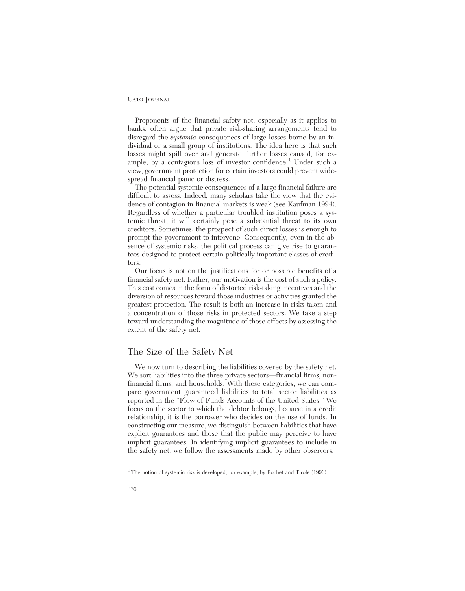Proponents of the financial safety net, especially as it applies to banks, often argue that private risk-sharing arrangements tend to disregard the *systemic* consequences of large losses borne by an individual or a small group of institutions. The idea here is that such losses might spill over and generate further losses caused, for example, by a contagious loss of investor confidence.<sup>4</sup> Under such a view, government protection for certain investors could prevent widespread financial panic or distress.

The potential systemic consequences of a large financial failure are difficult to assess. Indeed, many scholars take the view that the evidence of contagion in financial markets is weak (see Kaufman 1994). Regardless of whether a particular troubled institution poses a systemic threat, it will certainly pose a substantial threat to its own creditors. Sometimes, the prospect of such direct losses is enough to prompt the government to intervene. Consequently, even in the absence of systemic risks, the political process can give rise to guarantees designed to protect certain politically important classes of creditors.

Our focus is not on the justifications for or possible benefits of a financial safety net. Rather, our motivation is the cost of such a policy. This cost comes in the form of distorted risk-taking incentives and the diversion of resources toward those industries or activities granted the greatest protection. The result is both an increase in risks taken and a concentration of those risks in protected sectors. We take a step toward understanding the magnitude of those effects by assessing the extent of the safety net.

# The Size of the Safety Net

We now turn to describing the liabilities covered by the safety net. We sort liabilities into the three private sectors—financial firms, nonfinancial firms, and households. With these categories, we can compare government guaranteed liabilities to total sector liabilities as reported in the "Flow of Funds Accounts of the United States." We focus on the sector to which the debtor belongs, because in a credit relationship, it is the borrower who decides on the use of funds. In constructing our measure, we distinguish between liabilities that have explicit guarantees and those that the public may perceive to have implicit guarantees. In identifying implicit guarantees to include in the safety net, we follow the assessments made by other observers.

<sup>4</sup> The notion of systemic risk is developed, for example, by Rochet and Tirole (1996).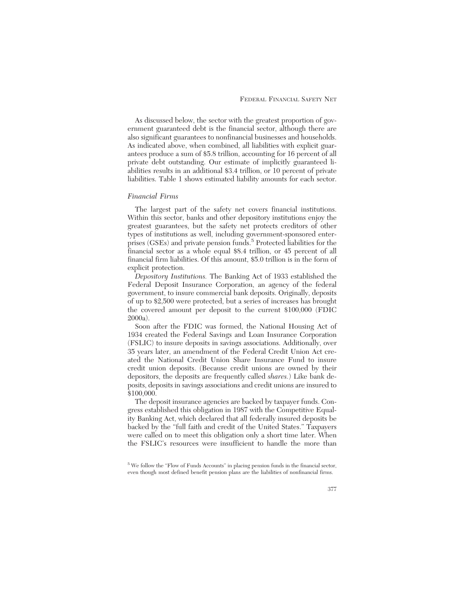As discussed below, the sector with the greatest proportion of government guaranteed debt is the financial sector, although there are also significant guarantees to nonfinancial businesses and households. As indicated above, when combined, all liabilities with explicit guarantees produce a sum of \$5.8 trillion, accounting for 16 percent of all private debt outstanding. Our estimate of implicitly guaranteed liabilities results in an additional \$3.4 trillion, or 10 percent of private liabilities. Table 1 shows estimated liability amounts for each sector.

#### *Financial Firms*

The largest part of the safety net covers financial institutions. Within this sector, banks and other depository institutions enjoy the greatest guarantees, but the safety net protects creditors of other types of institutions as well, including government-sponsored enterprises (GSEs) and private pension funds.<sup>5</sup> Protected liabilities for the financial sector as a whole equal \$8.4 trillion, or 45 percent of all financial firm liabilities. Of this amount, \$5.0 trillion is in the form of explicit protection.

*Depository Institutions.* The Banking Act of 1933 established the Federal Deposit Insurance Corporation, an agency of the federal government, to insure commercial bank deposits. Originally, deposits of up to \$2,500 were protected, but a series of increases has brought the covered amount per deposit to the current \$100,000 (FDIC 2000a).

Soon after the FDIC was formed, the National Housing Act of 1934 created the Federal Savings and Loan Insurance Corporation (FSLIC) to insure deposits in savings associations. Additionally, over 35 years later, an amendment of the Federal Credit Union Act created the National Credit Union Share Insurance Fund to insure credit union deposits. (Because credit unions are owned by their depositors, the deposits are frequently called *shares.*) Like bank deposits, deposits in savings associations and credit unions are insured to \$100,000.

The deposit insurance agencies are backed by taxpayer funds. Congress established this obligation in 1987 with the Competitive Equality Banking Act, which declared that all federally insured deposits be backed by the "full faith and credit of the United States." Taxpayers were called on to meet this obligation only a short time later. When the FSLIC's resources were insufficient to handle the more than

 $^5$  We follow the "Flow of Funds Accounts" in placing pension funds in the financial sector, even though most defined benefit pension plans are the liabilities of nonfinancial firms.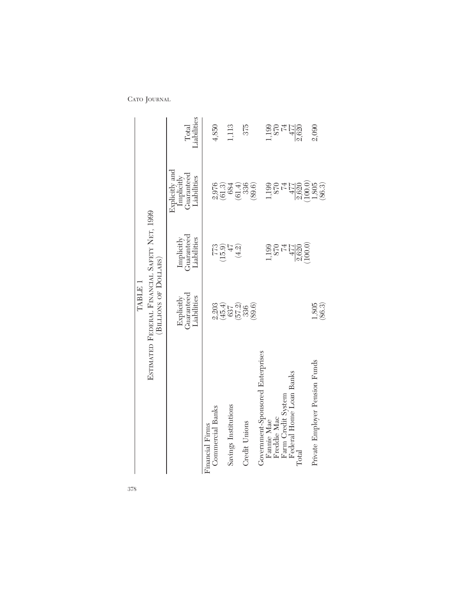|                                               | TABLE 1                                                               |                                                                               |                                                                    |                      |
|-----------------------------------------------|-----------------------------------------------------------------------|-------------------------------------------------------------------------------|--------------------------------------------------------------------|----------------------|
|                                               | ESTIMATED FEDERAL FINANCIAL SAFETY NET, 1999<br>(BILLIONS OF DOLLARS) |                                                                               |                                                                    |                      |
|                                               | Guaranteed<br>Liabilities<br>Explicitly                               | Guaranteed<br>Liabilities<br>Implicitly                                       | Explicitly and<br>Guaranteed<br>Implicitly<br>Liabilities          | Liabilities<br>Total |
| <b>Commercial Banks</b><br>Financial Firms    |                                                                       |                                                                               |                                                                    | 4,850                |
| Savings Institutions                          |                                                                       | (15.9)<br>$47$                                                                | $\frac{2,976}{(61.3)}$<br>684                                      | 1,113                |
| Credit Unions                                 | 2303<br>2457<br>26720<br>269.69                                       | $(4.2)$                                                                       | 336<br>(61.4)                                                      | 375                  |
| Government-Sponsored Enterprises              |                                                                       |                                                                               | (89.6)                                                             |                      |
| Freddie Mac<br>Fannie Mae                     |                                                                       | 1,199                                                                         | 199<br>870                                                         | 1,199                |
| Federal Home Loan Banks<br>Farm Credit System |                                                                       |                                                                               | $477$                                                              | $^{57}_{74}$         |
| $\rm Total$                                   |                                                                       | $\begin{array}{c}\n 870 \\ 871 \\ 747 \\ 9.620 \\ 0.000 \\ 0.00\n\end{array}$ |                                                                    | $\frac{477}{2,620}$  |
| Private Employer Pension Funds                | $1,805$<br>$(86.3)$                                                   |                                                                               | $\begin{array}{c} 2,620 \\ (100.0) \\ 1,805 \\ (86.3) \end{array}$ | 2,090                |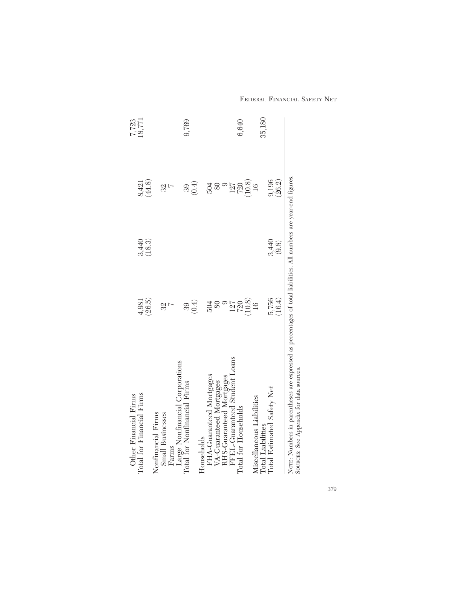| (0.4)<br>504<br>39<br>32<br>FFEL-Guaranteed Student Loans<br>Large Nonfinancial Corporations<br>Total for Nonfinancial Firms<br>FHA-Guaranteed Mortgages<br>RHS-Guaranteed Mortgages |
|--------------------------------------------------------------------------------------------------------------------------------------------------------------------------------------|
|                                                                                                                                                                                      |
|                                                                                                                                                                                      |
|                                                                                                                                                                                      |
|                                                                                                                                                                                      |
|                                                                                                                                                                                      |
| 3,440<br>(9.8)<br>(16.4)<br>5,756                                                                                                                                                    |

FEDERAL FINANCIAL SAFETY NET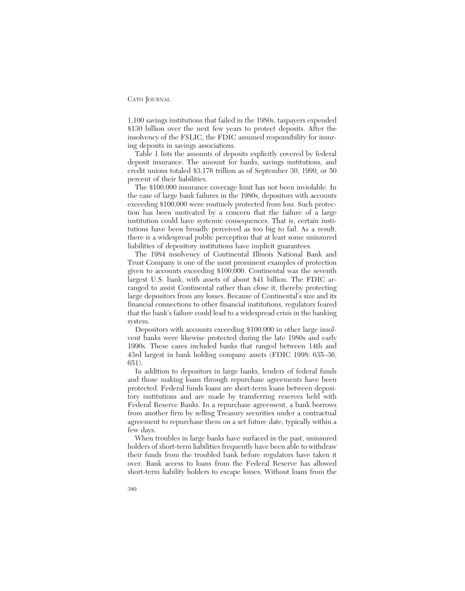1,100 savings institutions that failed in the 1980s, taxpayers expended \$130 billion over the next few years to protect deposits. After the insolvency of the FSLIC, the FDIC assumed responsibility for insuring deposits in savings associations.

Table 1 lists the amounts of deposits explicitly covered by federal deposit insurance. The amount for banks, savings institutions, and credit unions totaled \$3.176 trillion as of September 30, 1999, or 50 percent of their liabilities.

The \$100,000 insurance coverage limit has not been inviolable. In the case of large bank failures in the 1980s, depositors with accounts exceeding \$100,000 were routinely protected from loss. Such protection has been motivated by a concern that the failure of a large institution could have systemic consequences. That is, certain institutions have been broadly perceived as too big to fail. As a result, there is a widespread public perception that at least some uninsured liabilities of depository institutions have implicit guarantees.

The 1984 insolvency of Continental Illinois National Bank and Trust Company is one of the most prominent examples of protection given to accounts exceeding \$100,000. Continental was the seventh largest U.S. bank, with assets of about \$41 billion. The FDIC arranged to assist Continental rather than close it, thereby protecting large depositors from any losses. Because of Continental's size and its financial connections to other financial institutions, regulators feared that the bank's failure could lead to a widespread crisis in the banking system.

Depositors with accounts exceeding \$100,000 in other large insolvent banks were likewise protected during the late 1980s and early 1990s. These cases included banks that ranged between 14th and 43rd largest in bank holding company assets (FDIC 1998: 635–36, 651).

In addition to depositors in large banks, lenders of federal funds and those making loans through repurchase agreements have been protected. Federal funds loans are short-term loans between depository institutions and are made by transferring reserves held with Federal Reserve Banks. In a repurchase agreement, a bank borrows from another firm by selling Treasury securities under a contractual agreement to repurchase them on a set future date, typically within a few days.

When troubles in large banks have surfaced in the past, uninsured holders of short-term liabilities frequently have been able to withdraw their funds from the troubled bank before regulators have taken it over. Bank access to loans from the Federal Reserve has allowed short-term liability holders to escape losses. Without loans from the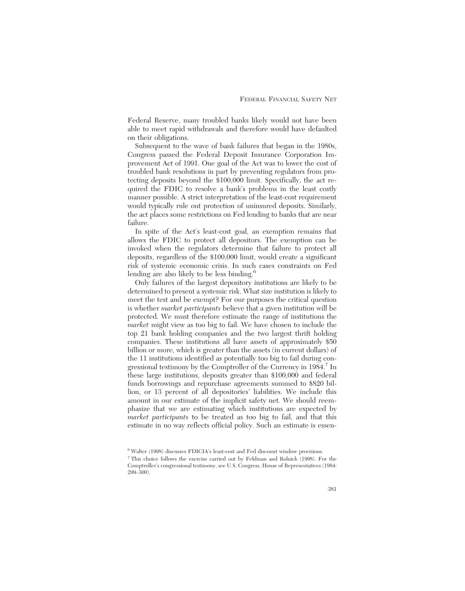Federal Reserve, many troubled banks likely would not have been able to meet rapid withdrawals and therefore would have defaulted on their obligations.

Subsequent to the wave of bank failures that began in the 1980s, Congress passed the Federal Deposit Insurance Corporation Improvement Act of 1991. One goal of the Act was to lower the cost of troubled bank resolutions in part by preventing regulators from protecting deposits beyond the \$100,000 limit. Specifically, the act required the FDIC to resolve a bank's problems in the least costly manner possible. A strict interpretation of the least-cost requirement would typically rule out protection of uninsured deposits. Similarly, the act places some restrictions on Fed lending to banks that are near failure.

In spite of the Act's least-cost goal, an exemption remains that allows the FDIC to protect all depositors. The exemption can be invoked when the regulators determine that failure to protect all deposits, regardless of the \$100,000 limit, would create a significant risk of systemic economic crisis. In such cases constraints on Fed lending are also likely to be less binding.<sup>6</sup>

Only failures of the largest depository institutions are likely to be determined to present a systemic risk. What size institution is likely to meet the test and be exempt? For our purposes the critical question is whether *market participants* believe that a given institution will be protected. We must therefore estimate the range of institutions the *market* might view as too big to fail. We have chosen to include the top 21 bank holding companies and the two largest thrift holding companies. These institutions all have assets of approximately \$50 billion or more, which is greater than the assets (in current dollars) of the 11 institutions identified as potentially too big to fail during congressional testimony by the Comptroller of the Currency in 1984.<sup>7</sup> In these large institutions, deposits greater than \$100,000 and federal funds borrowings and repurchase agreements summed to \$820 billion, or 13 percent of all depositories' liabilities. We include this amount in our estimate of the implicit safety net. We should reemphasize that we are estimating which institutions are expected by *market participants* to be treated as too big to fail, and that this estimate in no way reflects official policy. Such an estimate is essen-

<sup>6</sup> Walter (1998) discusses FDICIA's least-cost and Fed discount window provisions.

<sup>7</sup> This choice follows the exercise carried out by Feldman and Rolnick (1998). For the Comptroller's congressional testimony, see U.S. Congress, House of Representatives (1984:  $299 - 300$ ).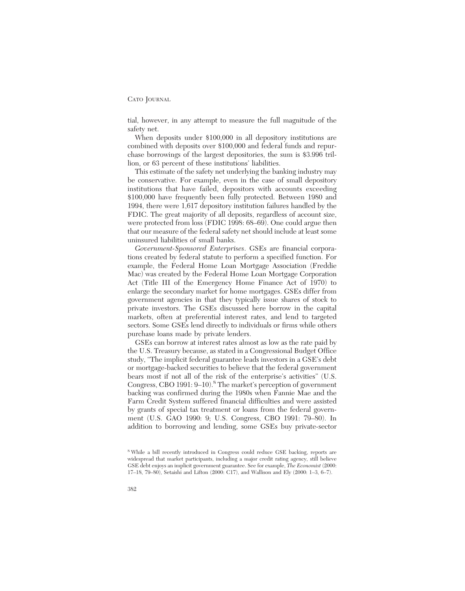tial, however, in any attempt to measure the full magnitude of the safety net.

When deposits under \$100,000 in all depository institutions are combined with deposits over \$100,000 and federal funds and repurchase borrowings of the largest depositories, the sum is \$3.996 trillion, or 63 percent of these institutions' liabilities.

This estimate of the safety net underlying the banking industry may be conservative. For example, even in the case of small depository institutions that have failed, depositors with accounts exceeding \$100,000 have frequently been fully protected. Between 1980 and 1994, there were 1,617 depository institution failures handled by the FDIC. The great majority of all deposits, regardless of account size, were protected from loss (FDIC 1998: 68–69). One could argue then that our measure of the federal safety net should include at least some uninsured liabilities of small banks.

*Government-Sponsored Enterprises*. GSEs are financial corporations created by federal statute to perform a specified function. For example, the Federal Home Loan Mortgage Association (Freddie Mac) was created by the Federal Home Loan Mortgage Corporation Act (Title III of the Emergency Home Finance Act of 1970) to enlarge the secondary market for home mortgages. GSEs differ from government agencies in that they typically issue shares of stock to private investors. The GSEs discussed here borrow in the capital markets, often at preferential interest rates, and lend to targeted sectors. Some GSEs lend directly to individuals or firms while others purchase loans made by private lenders.

GSEs can borrow at interest rates almost as low as the rate paid by the U.S. Treasury because, as stated in a Congressional Budget Office study, "The implicit federal guarantee leads investors in a GSE's debt or mortgage-backed securities to believe that the federal government bears most if not all of the risk of the enterprise's activities" (U.S. Congress, CBO 1991: 9–10).<sup>8</sup> The market's perception of government backing was confirmed during the 1980s when Fannie Mae and the Farm Credit System suffered financial difficulties and were assisted by grants of special tax treatment or loans from the federal government (U.S. GAO 1990: 9; U.S. Congress, CBO 1991: 79–80). In addition to borrowing and lending, some GSEs buy private-sector

<sup>8</sup> While a bill recently introduced in Congress could reduce GSE backing, reports are widespread that market participants, including a major credit rating agency, still believe GSE debt enjoys an implicit government guarantee. See for example, *The Economist* (2000: 17–18, 79–80), Setaishi and Lifton (2000: C17), and Wallison and Ely (2000: 1–3, 6–7).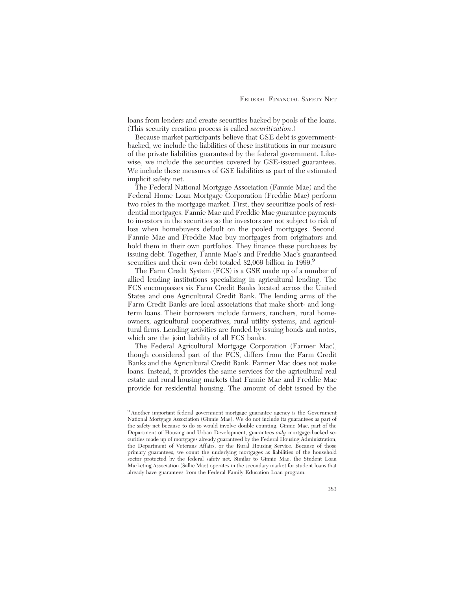loans from lenders and create securities backed by pools of the loans. (This security creation process is called *securitization*.)

Because market participants believe that GSE debt is governmentbacked, we include the liabilities of these institutions in our measure of the private liabilities guaranteed by the federal government. Likewise, we include the securities covered by GSE-issued guarantees. We include these measures of GSE liabilities as part of the estimated implicit safety net.

The Federal National Mortgage Association (Fannie Mae) and the Federal Home Loan Mortgage Corporation (Freddie Mac) perform two roles in the mortgage market. First, they securitize pools of residential mortgages. Fannie Mae and Freddie Mac guarantee payments to investors in the securities so the investors are not subject to risk of loss when homebuyers default on the pooled mortgages. Second, Fannie Mae and Freddie Mac buy mortgages from originators and hold them in their own portfolios. They finance these purchases by issuing debt. Together, Fannie Mae's and Freddie Mac's guaranteed securities and their own debt totaled \$2,069 billion in 1999.<sup>9</sup>

The Farm Credit System (FCS) is a GSE made up of a number of allied lending institutions specializing in agricultural lending. The FCS encompasses six Farm Credit Banks located across the United States and one Agricultural Credit Bank. The lending arms of the Farm Credit Banks are local associations that make short- and longterm loans. Their borrowers include farmers, ranchers, rural homeowners, agricultural cooperatives, rural utility systems, and agricultural firms. Lending activities are funded by issuing bonds and notes, which are the joint liability of all FCS banks.

The Federal Agricultural Mortgage Corporation (Farmer Mac), though considered part of the FCS, differs from the Farm Credit Banks and the Agricultural Credit Bank. Farmer Mac does not make loans. Instead, it provides the same services for the agricultural real estate and rural housing markets that Fannie Mae and Freddie Mac provide for residential housing. The amount of debt issued by the

<sup>9</sup> Another important federal government mortgage guarantee agency is the Government National Mortgage Association (Ginnie Mae). We do not include its guarantees as part of the safety net because to do so would involve double counting. Ginnie Mae, part of the Department of Housing and Urban Development, guarantees *only* mortgage-backed securities made up of mortgages already guaranteed by the Federal Housing Administration, the Department of Veterans Affairs, or the Rural Housing Service. Because of those primary guarantees, we count the underlying mortgages as liabilities of the household sector protected by the federal safety net. Similar to Ginnie Mae, the Student Loan Marketing Association (Sallie Mae) operates in the secondary market for student loans that already have guarantees from the Federal Family Education Loan program.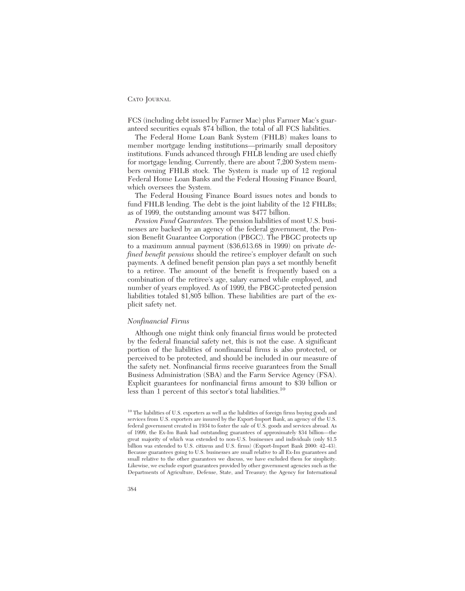FCS (including debt issued by Farmer Mac) plus Farmer Mac's guaranteed securities equals \$74 billion, the total of all FCS liabilities.

The Federal Home Loan Bank System (FHLB) makes loans to member mortgage lending institutions—primarily small depository institutions. Funds advanced through FHLB lending are used chiefly for mortgage lending. Currently, there are about 7,200 System members owning FHLB stock. The System is made up of 12 regional Federal Home Loan Banks and the Federal Housing Finance Board, which oversees the System.

The Federal Housing Finance Board issues notes and bonds to fund FHLB lending. The debt is the joint liability of the 12 FHLBs; as of 1999, the outstanding amount was \$477 billion.

*Pension Fund Guarantees.* The pension liabilities of most U.S. businesses are backed by an agency of the federal government, the Pension Benefit Guarantee Corporation (PBGC). The PBGC protects up to a maximum annual payment (\$36,613.68 in 1999) on private *defined benefit pensions* should the retiree's employer default on such payments. A defined benefit pension plan pays a set monthly benefit to a retiree. The amount of the benefit is frequently based on a combination of the retiree's age, salary earned while employed, and number of years employed. As of 1999, the PBGC-protected pension liabilities totaled \$1,805 billion. These liabilities are part of the explicit safety net.

### *Nonfinancial Firms*

Although one might think only financial firms would be protected by the federal financial safety net, this is not the case. A significant portion of the liabilities of nonfinancial firms is also protected, or perceived to be protected, and should be included in our measure of the safety net. Nonfinancial firms receive guarantees from the Small Business Administration (SBA) and the Farm Service Agency (FSA). Explicit guarantees for nonfinancial firms amount to \$39 billion or less than 1 percent of this sector's total liabilities.<sup>10</sup>

<sup>&</sup>lt;sup>10</sup> The liabilities of U.S. exporters as well as the liabilities of foreign firms buying goods and services from U.S. exporters are insured by the Export-Import Bank, an agency of the U.S. federal government created in 1934 to foster the sale of U.S. goods and services abroad. As of 1999, the Ex-Im Bank had outstanding guarantees of approximately \$34 billion—the great majority of which was extended to non-U.S. businesses and individuals (only \$1.5 billion was extended to U.S. citizens and U.S. firms) (Export-Import Bank 2000: 42–43). Because guarantees going to U.S. businesses are small relative to all Ex-Im guarantees and small relative to the other guarantees we discuss, we have excluded them for simplicity. Likewise, we exclude export guarantees provided by other government agencies such as the Departments of Agriculture, Defense, State, and Treasury; the Agency for International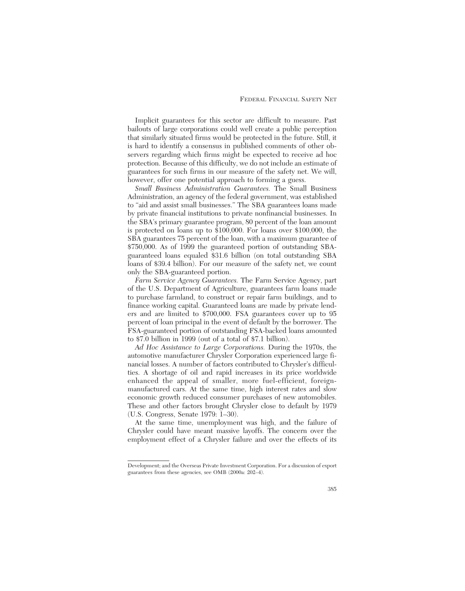Implicit guarantees for this sector are difficult to measure. Past bailouts of large corporations could well create a public perception that similarly situated firms would be protected in the future. Still, it is hard to identify a consensus in published comments of other observers regarding which firms might be expected to receive ad hoc protection. Because of this difficulty, we do not include an estimate of guarantees for such firms in our measure of the safety net. We will, however, offer one potential approach to forming a guess.

*Small Business Administration Guarantees.* The Small Business Administration, an agency of the federal government, was established to "aid and assist small businesses." The SBA guarantees loans made by private financial institutions to private nonfinancial businesses. In the SBA's primary guarantee program, 80 percent of the loan amount is protected on loans up to \$100,000. For loans over \$100,000, the SBA guarantees 75 percent of the loan, with a maximum guarantee of \$750,000. As of 1999 the guaranteed portion of outstanding SBAguaranteed loans equaled \$31.6 billion (on total outstanding SBA loans of \$39.4 billion). For our measure of the safety net, we count only the SBA-guaranteed portion.

*Farm Service Agency Guarantees.* The Farm Service Agency, part of the U.S. Department of Agriculture, guarantees farm loans made to purchase farmland, to construct or repair farm buildings, and to finance working capital. Guaranteed loans are made by private lenders and are limited to \$700,000. FSA guarantees cover up to 95 percent of loan principal in the event of default by the borrower. The FSA-guaranteed portion of outstanding FSA-backed loans amounted to \$7.0 billion in 1999 (out of a total of \$7.1 billion).

*Ad Hoc Assistance to Large Corporations.* During the 1970s, the automotive manufacturer Chrysler Corporation experienced large financial losses. A number of factors contributed to Chrysler's difficulties. A shortage of oil and rapid increases in its price worldwide enhanced the appeal of smaller, more fuel-efficient, foreignmanufactured cars. At the same time, high interest rates and slow economic growth reduced consumer purchases of new automobiles. These and other factors brought Chrysler close to default by 1979 (U.S. Congress, Senate 1979: 1–30).

At the same time, unemployment was high, and the failure of Chrysler could have meant massive layoffs. The concern over the employment effect of a Chrysler failure and over the effects of its

Development; and the Overseas Private Investment Corporation. For a discussion of export guarantees from these agencies, see OMB (2000a: 202–4).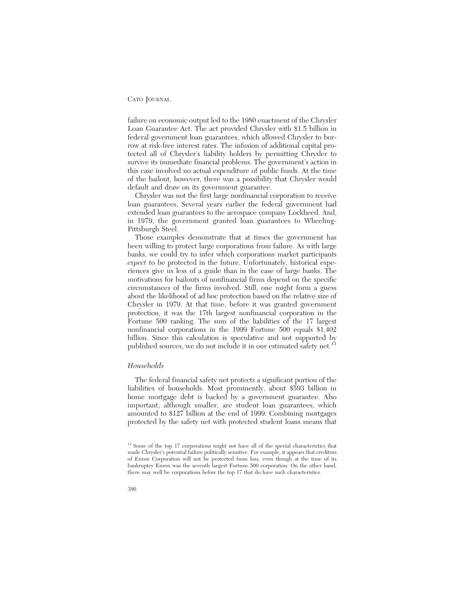failure on economic output led to the 1980 enactment of the Chrysler Loan Guarantee Act. The act provided Chrysler with \$1.5 billion in federal government loan guarantees, which allowed Chrysler to borrow at risk-free interest rates. The infusion of additional capital protected all of Chrysler's liability holders by permitting Chrysler to survive its immediate financial problems. The government's action in this case involved no actual expenditure of public funds. At the time of the bailout, however, there was a possibility that Chrysler would default and draw on its government guarantee.

Chrysler was not the first large nonfinancial corporation to receive loan guarantees. Several years earlier the federal government had extended loan guarantees to the aerospace company Lockheed. And, in 1979, the government granted loan guarantees to Wheeling-Pittsburgh Steel.

Those examples demonstrate that at times the government has been willing to protect large corporations from failure. As with large banks, we could try to infer which corporations market participants *expect* to be protected in the future. Unfortunately, historical experiences give us less of a guide than in the case of large banks. The motivations for bailouts of nonfinancial firms depend on the specific circumstances of the firms involved. Still, one might form a guess about the likelihood of ad hoc protection based on the relative size of Chrysler in 1979. At that time, before it was granted government protection, it was the 17th largest nonfinancial corporation in the Fortune 500 ranking. The sum of the liabilities of the 17 largest nonfinancial corporations in the 1999 Fortune 500 equals \$1,402 billion. Since this calculation is speculative and not supported by published sources, we do not include it in our estimated safety net.<sup>11</sup>

### *Households*

The federal financial safety net protects a significant portion of the liabilities of households. Most prominently, about \$593 billion in home mortgage debt is backed by a government guarantee. Also important, although smaller, are student loan guarantees, which amounted to \$127 billion at the end of 1999. Combining mortgages protected by the safety net with protected student loans means that

<sup>&</sup>lt;sup>11</sup> Some of the top 17 corporations might not have all of the special characteristics that made Chrysler's potential failure politically sensitive. For example, it appears that creditors of Enron Corporation will not be protected from loss, even though at the time of its bankruptcy Enron was the seventh largest Fortune 500 corporation. On the other hand, there may well be corporations below the top 17 that do have such characteristics.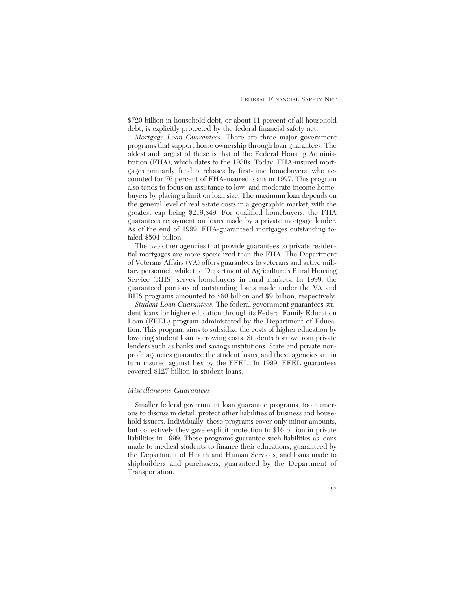\$720 billion in household debt, or about 11 percent of all household debt, is explicitly protected by the federal financial safety net.

*Mortgage Loan Guarantees.* There are three major government programs that support home ownership through loan guarantees. The oldest and largest of these is that of the Federal Housing Administration (FHA), which dates to the 1930s. Today, FHA-insured mortgages primarily fund purchases by first-time homebuyers, who accounted for 76 percent of FHA-insured loans in 1997. This program also tends to focus on assistance to low- and moderate-income homebuyers by placing a limit on loan size. The maximum loan depends on the general level of real estate costs in a geographic market, with the greatest cap being \$219,849. For qualified homebuyers, the FHA guarantees repayment on loans made by a private mortgage lender. As of the end of 1999, FHA-guaranteed mortgages outstanding totaled \$504 billion.

The two other agencies that provide guarantees to private residential mortgages are more specialized than the FHA. The Department of Veterans Affairs (VA) offers guarantees to veterans and active military personnel, while the Department of Agriculture's Rural Housing Service (RHS) serves homebuyers in rural markets. In 1999, the guaranteed portions of outstanding loans made under the VA and RHS programs amounted to \$80 billion and \$9 billion, respectively.

*Student Loan Guarantees.* The federal government guarantees student loans for higher education through its Federal Family Education Loan (FFEL) program administered by the Department of Education. This program aims to subsidize the costs of higher education by lowering student loan borrowing costs. Students borrow from private lenders such as banks and savings institutions. State and private nonprofit agencies guarantee the student loans, and these agencies are in turn insured against loss by the FFEL. In 1999, FFEL guarantees covered \$127 billion in student loans.

#### *Miscellaneous Guarantees*

Smaller federal government loan guarantee programs, too numerous to discuss in detail, protect other liabilities of business and household issuers. Individually, these programs cover only minor amounts, but collectively they gave explicit protection to \$16 billion in private liabilities in 1999. These programs guarantee such liabilities as loans made to medical students to finance their educations, guaranteed by the Department of Health and Human Services, and loans made to shipbuilders and purchasers, guaranteed by the Department of Transportation.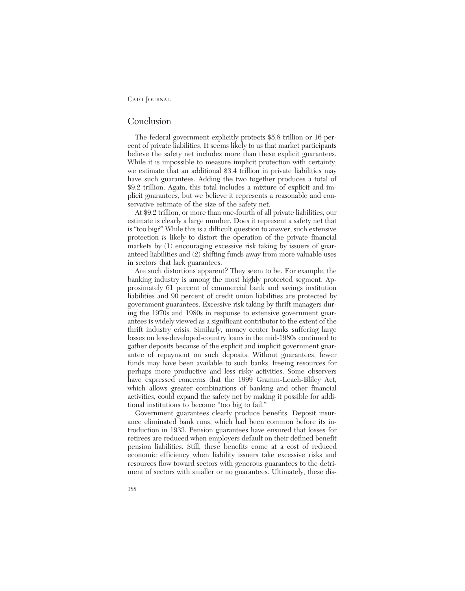### Conclusion

The federal government explicitly protects \$5.8 trillion or 16 percent of private liabilities. It seems likely to us that market participants believe the safety net includes more than these explicit guarantees. While it is impossible to measure implicit protection with certainty, we estimate that an additional \$3.4 trillion in private liabilities may have such guarantees. Adding the two together produces a total of \$9.2 trillion. Again, this total includes a mixture of explicit and implicit guarantees, but we believe it represents a reasonable and conservative estimate of the size of the safety net.

At \$9.2 trillion, or more than one-fourth of all private liabilities, our estimate is clearly a large number. Does it represent a safety net that is "too big?" While this is a difficult question to answer, such extensive protection *is* likely to distort the operation of the private financial markets by  $(1)$  encouraging excessive risk taking by issuers of guaranteed liabilities and (2) shifting funds away from more valuable uses in sectors that lack guarantees.

Are such distortions apparent? They seem to be. For example, the banking industry is among the most highly protected segment. Approximately 61 percent of commercial bank and savings institution liabilities and 90 percent of credit union liabilities are protected by government guarantees. Excessive risk taking by thrift managers during the 1970s and 1980s in response to extensive government guarantees is widely viewed as a significant contributor to the extent of the thrift industry crisis. Similarly, money center banks suffering large losses on less-developed-country loans in the mid-1980s continued to gather deposits because of the explicit and implicit government guarantee of repayment on such deposits. Without guarantees, fewer funds may have been available to such banks, freeing resources for perhaps more productive and less risky activities. Some observers have expressed concerns that the 1999 Gramm-Leach-Bliley Act, which allows greater combinations of banking and other financial activities, could expand the safety net by making it possible for additional institutions to become "too big to fail."

Government guarantees clearly produce benefits. Deposit insurance eliminated bank runs, which had been common before its introduction in 1933. Pension guarantees have ensured that losses for retirees are reduced when employers default on their defined benefit pension liabilities. Still, these benefits come at a cost of reduced economic efficiency when liability issuers take excessive risks and resources flow toward sectors with generous guarantees to the detriment of sectors with smaller or no guarantees. Ultimately, these dis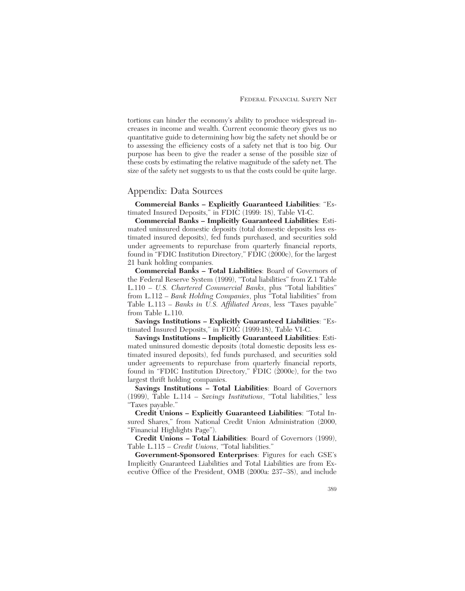tortions can hinder the economy's ability to produce widespread increases in income and wealth. Current economic theory gives us no quantitative guide to determining how big the safety net should be or to assessing the efficiency costs of a safety net that is too big. Our purpose has been to give the reader a sense of the possible size of these costs by estimating the relative magnitude of the safety net. The size of the safety net suggests to us that the costs could be quite large.

## Appendix: Data Sources

**Commercial Banks – Explicitly Guaranteed Liabilities**: "Estimated Insured Deposits," in FDIC (1999: 18), Table VI-C.

**Commercial Banks – Implicitly Guaranteed Liabilities**: Estimated uninsured domestic deposits (total domestic deposits less estimated insured deposits), fed funds purchased, and securities sold under agreements to repurchase from quarterly financial reports, found in "FDIC Institution Directory," FDIC (2000c), for the largest 21 bank holding companies.

**Commercial Banks – Total Liabilities**: Board of Governors of the Federal Reserve System (1999), "Total liabilities" from Z.1 Table L.110 – *U.S. Chartered Commercial Banks*, plus "Total liabilities" from L.112 – *Bank Holding Companies*, plus "Total liabilities" from Table L.113 – *Banks in U.S. Affiliated Areas*, less "Taxes payable" from Table L.110.

**Savings Institutions – Explicitly Guaranteed Liabilities**: "Estimated Insured Deposits," in FDIC (1999:18), Table VI-C.

**Savings Institutions – Implicitly Guaranteed Liabilities**: Estimated uninsured domestic deposits (total domestic deposits less estimated insured deposits), fed funds purchased, and securities sold under agreements to repurchase from quarterly financial reports, found in "FDIC Institution Directory," FDIC (2000c), for the two largest thrift holding companies.

**Savings Institutions – Total Liabilities**: Board of Governors (1999), Table L.114 – *Savings Institutions*, "Total liabilities," less "Taxes payable."

**Credit Unions – Explicitly Guaranteed Liabilities**: "Total Insured Shares," from National Credit Union Administration (2000, "Financial Highlights Page").

**Credit Unions – Total Liabilities**: Board of Governors (1999), Table L.115 – *Credit Unions*, "Total liabilities."

**Government-Sponsored Enterprises**: Figures for each GSE's Implicitly Guaranteed Liabilities and Total Liabilities are from Executive Office of the President, OMB (2000a: 237–38), and include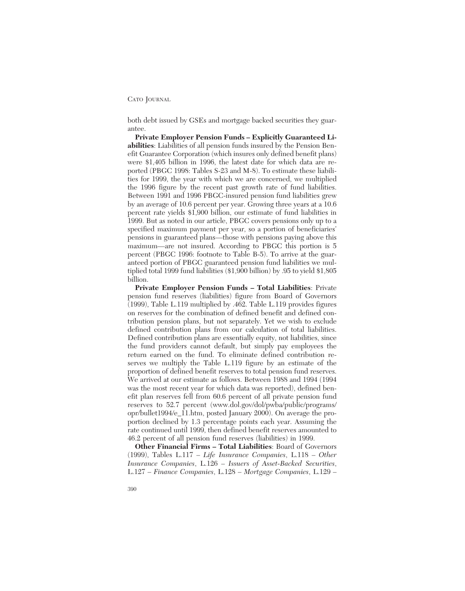both debt issued by GSEs and mortgage backed securities they guarantee.

**Private Employer Pension Funds – Explicitly Guaranteed Liabilities**: Liabilities of all pension funds insured by the Pension Benefit Guarantee Corporation (which insures only defined benefit plans) were \$1,405 billion in 1996, the latest date for which data are reported (PBGC 1998: Tables S-23 and M-8). To estimate these liabilities for 1999, the year with which we are concerned, we multiplied the 1996 figure by the recent past growth rate of fund liabilities. Between 1991 and 1996 PBGC-insured pension fund liabilities grew by an average of 10.6 percent per year. Growing three years at a 10.6 percent rate yields \$1,900 billion, our estimate of fund liabilities in 1999. But as noted in our article, PBGC covers pensions only up to a specified maximum payment per year, so a portion of beneficiaries' pensions in guaranteed plans—those with pensions paying above this maximum—are not insured. According to PBGC this portion is 5 percent (PBGC 1996: footnote to Table B-5). To arrive at the guaranteed portion of PBGC guaranteed pension fund liabilities we multiplied total 1999 fund liabilities (\$1,900 billion) by .95 to yield \$1,805 billion.

**Private Employer Pension Funds – Total Liabilities**: Private pension fund reserves (liabilities) figure from Board of Governors (1999), Table L.119 multiplied by .462. Table L.119 provides figures on reserves for the combination of defined benefit and defined contribution pension plans, but not separately. Yet we wish to exclude defined contribution plans from our calculation of total liabilities. Defined contribution plans are essentially equity, not liabilities, since the fund providers cannot default, but simply pay employees the return earned on the fund. To eliminate defined contribution reserves we multiply the Table L.119 figure by an estimate of the proportion of defined benefit reserves to total pension fund reserves. We arrived at our estimate as follows. Between 1988 and 1994 (1994 was the most recent year for which data was reported), defined benefit plan reserves fell from 60.6 percent of all private pension fund reserves to 52.7 percent (www.dol.gov/dol/pwba/public/programs/ opr/bullet1994/e\_11.htm, posted January 2000). On average the proportion declined by 1.3 percentage points each year. Assuming the rate continued until 1999, then defined benefit reserves amounted to 46.2 percent of all pension fund reserves (liabilities) in 1999.

**Other Financial Firms – Total Liabilities**: Board of Governors (1999), Tables L.117 – *Life Insurance Companies*, L.118 – *Other Insurance Companies*, L.126 – *Issuers of Asset-Backed Securities*, L.127 – *Finance Companies*, L.128 – *Mortgage Companies*, L.129 –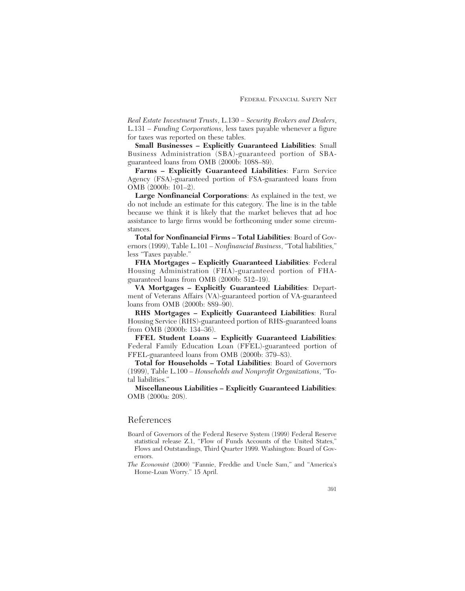*Real Estate Investment Trusts*, L.130 – *Security Brokers and Dealers*, L.131 – *Funding Corporations*, less taxes payable whenever a figure for taxes was reported on these tables.

**Small Businesses – Explicitly Guaranteed Liabilities**: Small Business Administration (SBA)-guaranteed portion of SBAguaranteed loans from OMB (2000b: 1088–89).

**Farms – Explicitly Guaranteed Liabilities**: Farm Service Agency (FSA)-guaranteed portion of FSA-guaranteed loans from OMB (2000b: 101–2).

**Large Nonfinancial Corporations**: As explained in the text, we do not include an estimate for this category. The line is in the table because we think it is likely that the market believes that ad hoc assistance to large firms would be forthcoming under some circumstances.

**Total for Nonfinancial Firms – Total Liabilities**: Board of Governors (1999), Table L.101 – *Nonfinancial Business*, "Total liabilities," less "Taxes payable."

**FHA Mortgages – Explicitly Guaranteed Liabilities**: Federal Housing Administration (FHA)-guaranteed portion of FHAguaranteed loans from OMB (2000b: 512–19).

**VA Mortgages – Explicitly Guaranteed Liabilities**: Department of Veterans Affairs (VA)-guaranteed portion of VA-guaranteed loans from OMB (2000b: 889–90).

**RHS Mortgages – Explicitly Guaranteed Liabilities**: Rural Housing Service (RHS)-guaranteed portion of RHS-guaranteed loans from OMB (2000b: 134–36).

**FFEL Student Loans – Explicitly Guaranteed Liabilities**: Federal Family Education Loan (FFEL)-guaranteed portion of FFEL-guaranteed loans from OMB (2000b: 379–83).

**Total for Households – Total Liabilities**: Board of Governors (1999), Table L.100 – *Households and Nonprofit Organizations*, "Total liabilities."

**Miscellaneous Liabilities – Explicitly Guaranteed Liabilities**: OMB (2000a: 208).

# References

- Board of Governors of the Federal Reserve System (1999) Federal Reserve statistical release Z.1, "Flow of Funds Accounts of the United States," Flows and Outstandings, Third Quarter 1999. Washington: Board of Governors.
- *The Economist* (2000) "Fannie, Freddie and Uncle Sam," and "America's Home-Loan Worry." 15 April.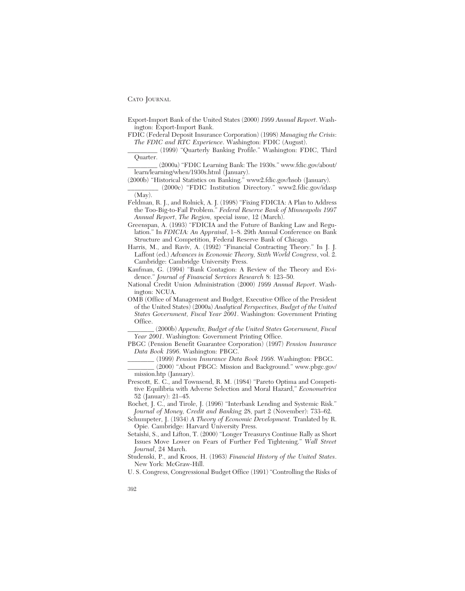Export-Import Bank of the United States (2000) *1999 Annual Report*. Washington: Export-Import Bank.

FDIC (Federal Deposit Insurance Corporation) (1998) *Managing the Crisis*: *The FDIC and RTC Experience*. Washington: FDIC (August).

(1999) "Quarterly Banking Profile." Washington: FDIC, Third Quarter.

\_\_\_\_\_\_\_\_\_ (2000a) "FDIC Learning Bank: The 1930s." www.fdic.gov/about/ learn/learning/when/1930s.html (January).

(2000b) "Historical Statistics on Banking." www2.fdic.gov/hsob (January).

\_\_\_\_\_\_\_\_\_ (2000c) "FDIC Institution Directory." www2.fdic.gov/idasp (May).

Feldman, R. J., and Rolnick, A. J. (1998) "Fixing FDICIA: A Plan to Address the Too-Big-to-Fail Problem." *Federal Reserve Bank of Minneapolis 1997 Annual Report*, *The Region,* special issue, 12 (March).

Greenspan, A. (1993) "FDICIA and the Future of Banking Law and Regulation." In *FDICIA: An Appraisal*, 1–8. 29th Annual Conference on Bank Structure and Competition, Federal Reserve Bank of Chicago.

Harris, M., and Raviv, A. (1992) "Financial Contracting Theory." In J. J. Laffont (ed.) *Advances in Economic Theory, Sixth World Congress*, vol. 2. Cambridge: Cambridge University Press.

Kaufman, G. (1994) "Bank Contagion: A Review of the Theory and Evidence." *Journal of Financial Services Research* 8: 123–50.

National Credit Union Administration (2000) *1999 Annual Report*. Washington: NCUA.

OMB (Office of Management and Budget, Executive Office of the President of the United States) (2000a) *Analytical Perspectives, Budget of the United States Government, Fiscal Year 2001*. Washington: Government Printing Office.

\_\_\_\_\_\_\_\_ (2000b) *Appendix, Budget of the United States Government, Fiscal Year 2001*. Washington: Government Printing Office.

PBGC (Pension Benefit Guarantee Corporation) (1997) *Pension Insurance Data Book 1996*. Washington: PBGC.

\_\_\_\_\_\_\_\_ (1999) *Pension Insurance Data Book 1998*. Washington: PBGC.

\_\_\_\_\_\_\_\_ (2000) "About PBGC: Mission and Background." www.pbgc.gov/ mission.htp (January).

Prescott, E. C., and Townsend, R. M. (1984) "Pareto Optima and Competitive Equilibria with Adverse Selection and Moral Hazard," *Econometrica* 52 (January): 21–45.

Rochet, J. C., and Tirole, J. (1996) "Interbank Lending and Systemic Risk." *Journal of Money, Credit and Banking* 28, part 2 (November): 733–62.

Schumpeter, J. (1934) *A Theory of Economic Development.* Tranlated by R. Opie. Cambridge: Harvard University Press.

Setaishi, S., and Lifton, T. (2000) "Longer Treasurys Continue Rally as Short Issues Move Lower on Fears of Further Fed Tightening." *Wall Street Journal*, 24 March.

Studenski, P., and Kroos, H. (1963) *Financial History of the United States*. New York: McGraw-Hill.

U. S. Congress, Congressional Budget Office (1991) "Controlling the Risks of